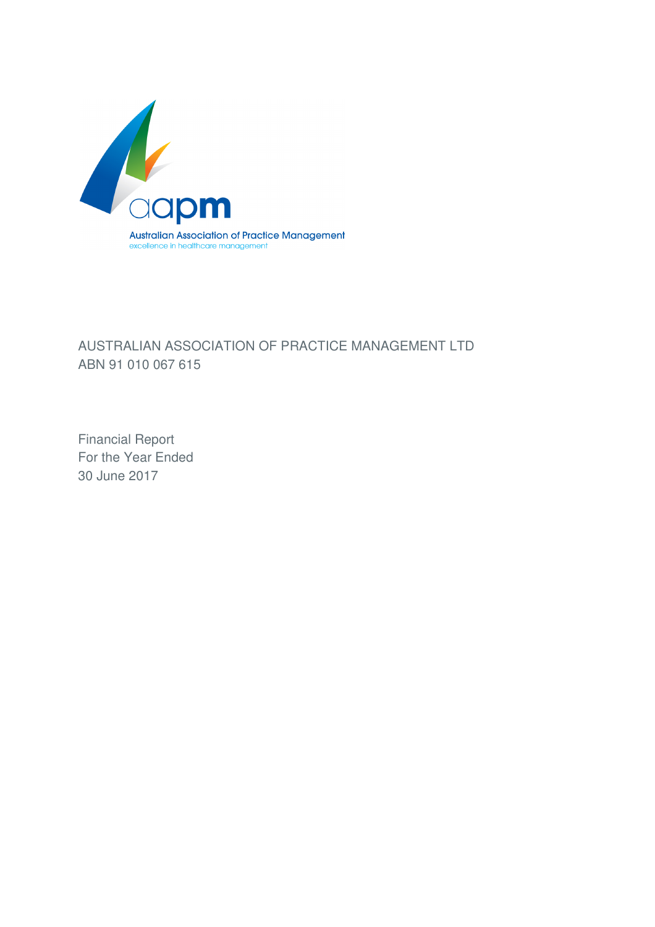

# AUSTRALIAN ASSOCIATION OF PRACTICE MANAGEMENT LTD ABN 91 010 067 615

Financial Report For the Year Ended 30 June 2017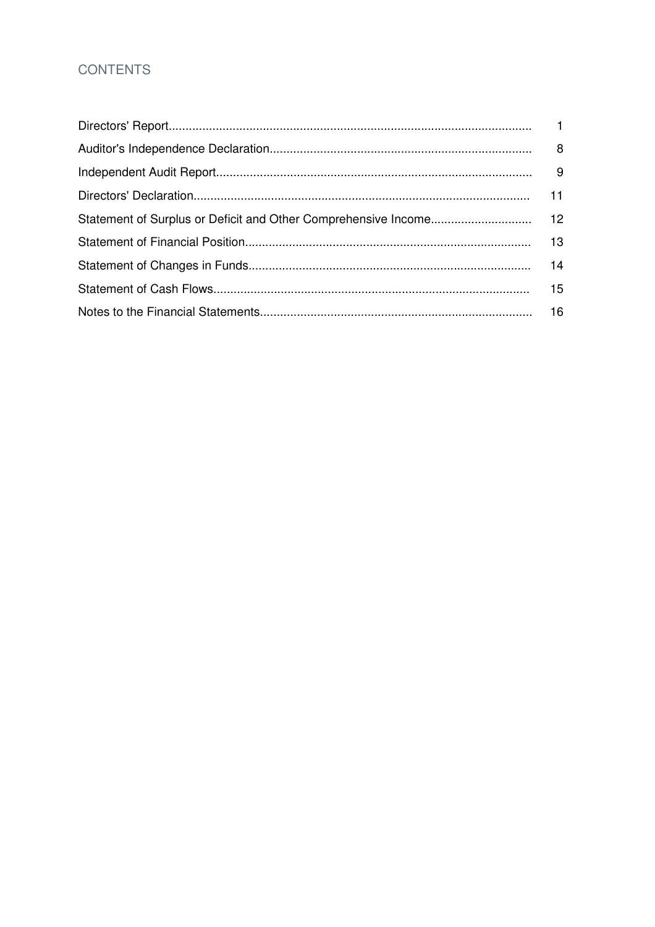# **CONTENTS**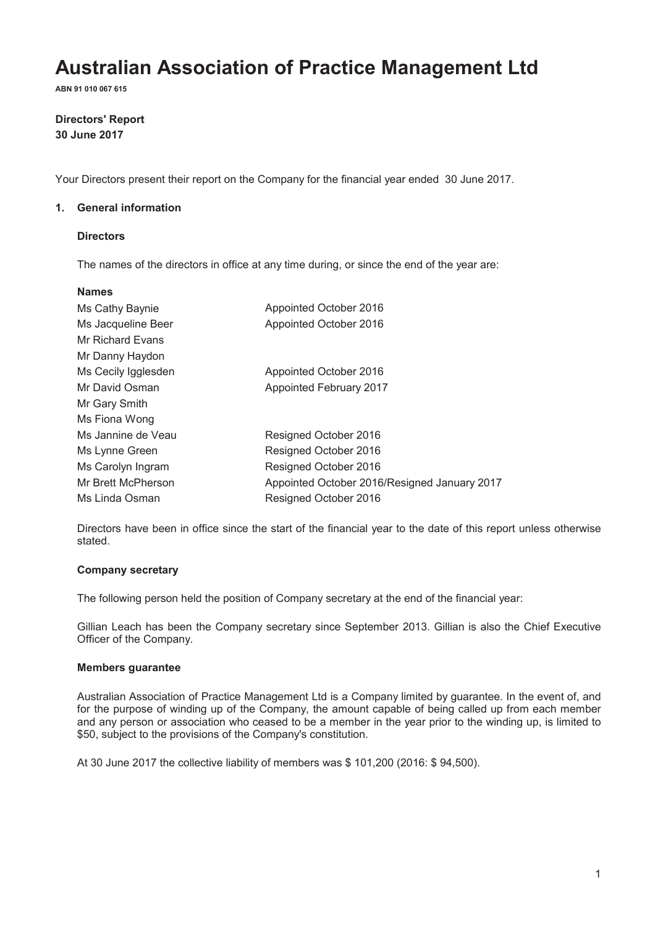**ABN 91 010 067 615**

### **Directors' Report 30 June 2017**

Your Directors present their report on the Company for the financial year ended 30 June 2017.

### **1. General information**

### **Directors**

The names of the directors in office at any time during, or since the end of the year are:

| <b>Names</b>        |                                              |
|---------------------|----------------------------------------------|
| Ms Cathy Baynie     | Appointed October 2016                       |
| Ms Jacqueline Beer  | Appointed October 2016                       |
| Mr Richard Evans    |                                              |
| Mr Danny Haydon     |                                              |
| Ms Cecily Igglesden | Appointed October 2016                       |
| Mr David Osman      | Appointed February 2017                      |
| Mr Gary Smith       |                                              |
| Ms Fiona Wong       |                                              |
| Ms Jannine de Veau  | Resigned October 2016                        |
| Ms Lynne Green      | Resigned October 2016                        |
| Ms Carolyn Ingram   | Resigned October 2016                        |
| Mr Brett McPherson  | Appointed October 2016/Resigned January 2017 |
| Ms Linda Osman      | Resigned October 2016                        |

Directors have been in office since the start of the financial year to the date of this report unless otherwise stated.

### **Company secretary**

The following person held the position of Company secretary at the end of the financial year:

Gillian Leach has been the Company secretary since September 2013. Gillian is also the Chief Executive Officer of the Company.

#### **Members guarantee**

Australian Association of Practice Management Ltd is a Company limited by guarantee. In the event of, and for the purpose of winding up of the Company, the amount capable of being called up from each member and any person or association who ceased to be a member in the year prior to the winding up, is limited to \$50, subject to the provisions of the Company's constitution.

At 30 June 2017 the collective liability of members was \$ 101,200 (2016: \$ 94,500).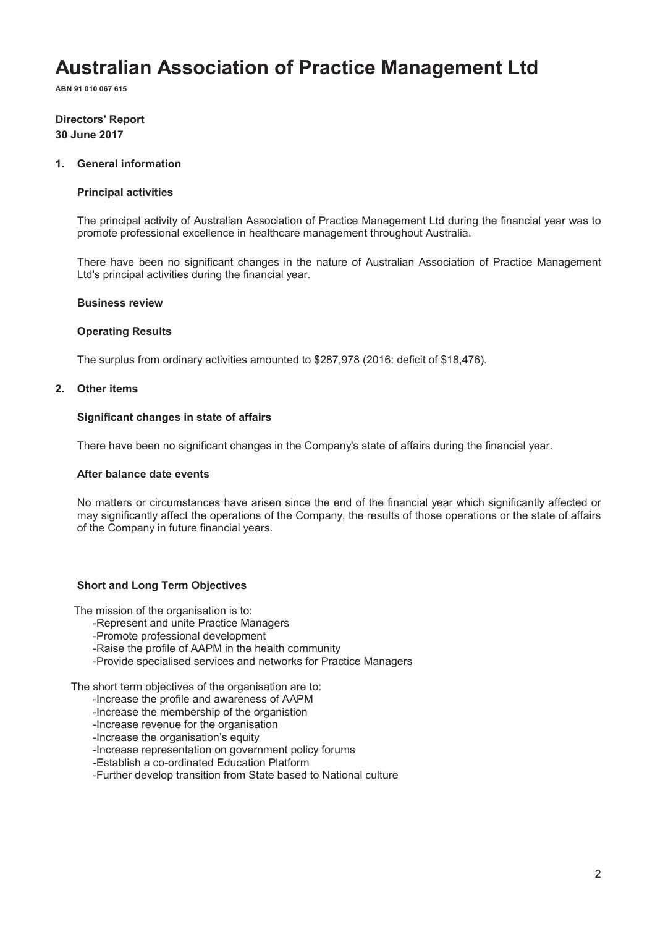**ABN 91 010 067 615**

### **Directors' Report 30 June 2017**

#### **1. General information**

#### **Principal activities**

The principal activity of Australian Association of Practice Management Ltd during the financial year was to promote professional excellence in healthcare management throughout Australia.

There have been no significant changes in the nature of Australian Association of Practice Management Ltd's principal activities during the financial year.

#### **Business review**

#### **Operating Results**

The surplus from ordinary activities amounted to \$287,978 (2016: deficit of \$18,476).

#### **2. Other items**

#### **Significant changes in state of affairs**

There have been no significant changes in the Company's state of affairs during the financial year.

#### **After balance date events**

No matters or circumstances have arisen since the end of the financial year which significantly affected or may significantly affect the operations of the Company, the results of those operations or the state of affairs of the Company in future financial years.

### **Short and Long Term Objectives**

The mission of the organisation is to:

- -Represent and unite Practice Managers
- -Promote professional development
- -Raise the profile of AAPM in the health community
- -Provide specialised services and networks for Practice Managers

The short term objectives of the organisation are to:

-Increase the profile and awareness of AAPM

- -Increase the membership of the organistion
- -Increase revenue for the organisation
- -Increase the organisation's equity
- -Increase representation on government policy forums

-Establish a co-ordinated Education Platform

-Further develop transition from State based to National culture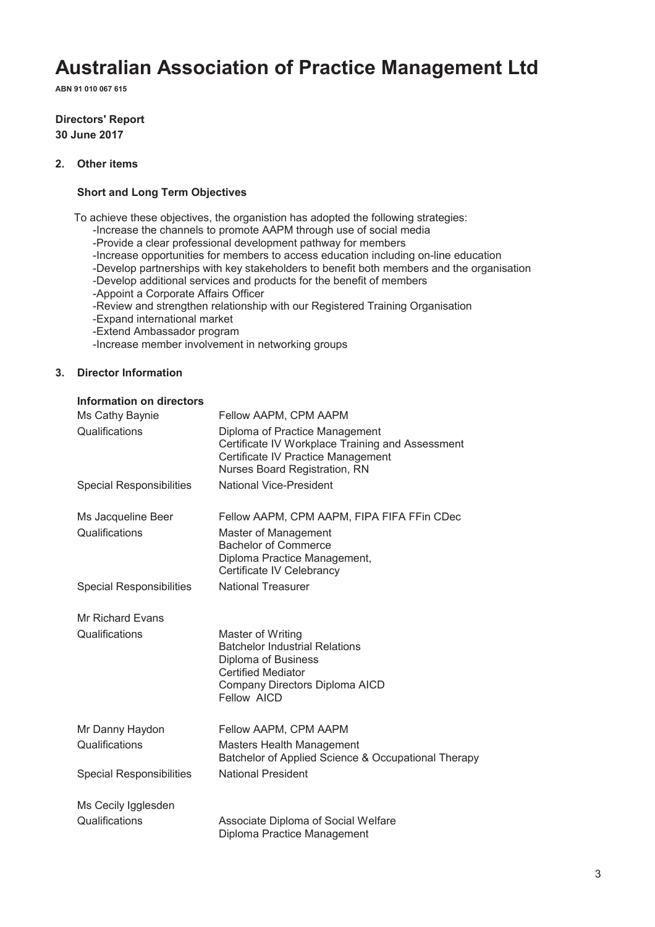**ABN 91 010 067 615**

### **Directors' Report 30 June 2017**

### **2. Other items**

### **Short and Long Term Objectives**

To achieve these objectives, the organistion has adopted the following strategies:

- -Increase the channels to promote AAPM through use of social media
- -Provide a clear professional development pathway for members
- -Increase opportunities for members to access education including on-line education
- -Develop partnerships with key stakeholders to benefit both members and the organisation
- -Develop additional services and products for the benefit of members
- -Appoint a Corporate Affairs Officer
- -Review and strengthen relationship with our Registered Training Organisation
- -Expand international market
- -Extend Ambassador program
- -Increase member involvement in networking groups

### **3. Director Information**

#### **Information on directors**

| Ms Cathy Baynie                           | Fellow AAPM, CPM AAPM                                                                                                                                           |
|-------------------------------------------|-----------------------------------------------------------------------------------------------------------------------------------------------------------------|
| Qualifications                            | Diploma of Practice Management<br>Certificate IV Workplace Training and Assessment<br>Certificate IV Practice Management<br>Nurses Board Registration, RN       |
| <b>Special Responsibilities</b>           | <b>National Vice-President</b>                                                                                                                                  |
| Ms Jacqueline Beer<br>Qualifications      | Fellow AAPM, CPM AAPM, FIPA FIFA FFin CDec<br>Master of Management<br><b>Bachelor of Commerce</b><br>Diploma Practice Management,<br>Certificate IV Celebrancy  |
| <b>Special Responsibilities</b>           | <b>National Treasurer</b>                                                                                                                                       |
| <b>Mr Richard Evans</b><br>Qualifications | Master of Writing<br><b>Batchelor Industrial Relations</b><br>Diploma of Business<br><b>Certified Mediator</b><br>Company Directors Diploma AICD<br>Fellow AICD |
| Mr Danny Haydon<br>Qualifications         | Fellow AAPM, CPM AAPM<br><b>Masters Health Management</b><br>Batchelor of Applied Science & Occupational Therapy                                                |
| <b>Special Responsibilities</b>           | <b>National President</b>                                                                                                                                       |
| Ms Cecily Igglesden<br>Qualifications     | Associate Diploma of Social Welfare                                                                                                                             |
|                                           | Diploma Practice Management                                                                                                                                     |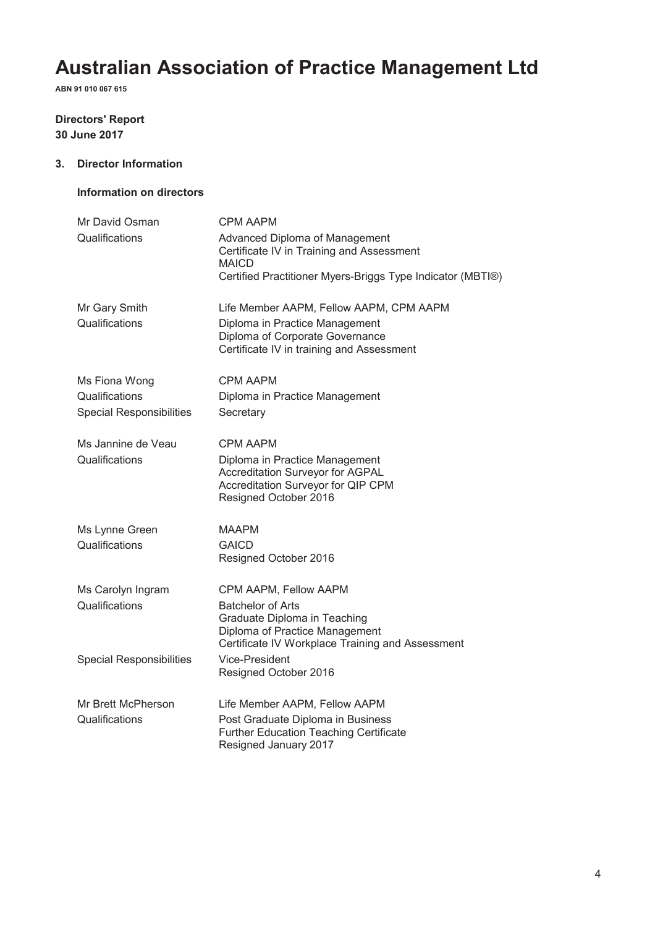**ABN 91 010 067 615**

# **Directors' Report 30 June 2017**

### **3. Director Information**

### **Information on directors**

| Mr David Osman                                    | <b>CPM AAPM</b>                                                                                                                                |
|---------------------------------------------------|------------------------------------------------------------------------------------------------------------------------------------------------|
| Qualifications                                    | Advanced Diploma of Management<br>Certificate IV in Training and Assessment<br><b>MAICD</b>                                                    |
|                                                   | Certified Practitioner Myers-Briggs Type Indicator (MBTI®)                                                                                     |
| Mr Gary Smith                                     | Life Member AAPM, Fellow AAPM, CPM AAPM                                                                                                        |
| Qualifications                                    | Diploma in Practice Management<br>Diploma of Corporate Governance<br>Certificate IV in training and Assessment                                 |
| Ms Fiona Wong                                     | <b>CPM AAPM</b>                                                                                                                                |
| Qualifications<br><b>Special Responsibilities</b> | Diploma in Practice Management<br>Secretary                                                                                                    |
| Ms Jannine de Veau                                | CPM AAPM                                                                                                                                       |
| Qualifications                                    | Diploma in Practice Management<br><b>Accreditation Surveyor for AGPAL</b><br>Accreditation Surveyor for QIP CPM<br>Resigned October 2016       |
| Ms Lynne Green                                    | MAAPM                                                                                                                                          |
| Qualifications                                    | <b>GAICD</b><br>Resigned October 2016                                                                                                          |
| Ms Carolyn Ingram                                 | CPM AAPM, Fellow AAPM                                                                                                                          |
| Qualifications                                    | <b>Batchelor of Arts</b><br>Graduate Diploma in Teaching<br>Diploma of Practice Management<br>Certificate IV Workplace Training and Assessment |
| <b>Special Responsibilities</b>                   | Vice-President<br>Resigned October 2016                                                                                                        |
| Mr Brett McPherson                                | Life Member AAPM, Fellow AAPM                                                                                                                  |
| Qualifications                                    | Post Graduate Diploma in Business<br><b>Further Education Teaching Certificate</b><br>Resigned January 2017                                    |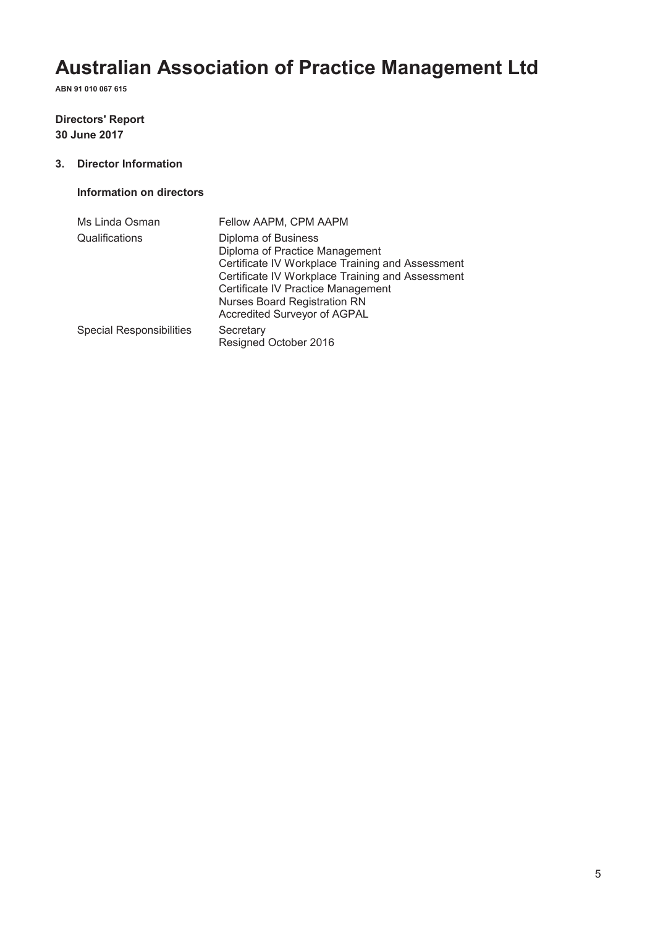**ABN 91 010 067 615**

# **Directors' Report 30 June 2017**

### **3. Director Information**

### **Information on directors**

| Ms Linda Osman                  | Fellow AAPM, CPM AAPM                                                                                                                                                                                                                                                      |
|---------------------------------|----------------------------------------------------------------------------------------------------------------------------------------------------------------------------------------------------------------------------------------------------------------------------|
| Qualifications                  | Diploma of Business<br>Diploma of Practice Management<br>Certificate IV Workplace Training and Assessment<br>Certificate IV Workplace Training and Assessment<br>Certificate IV Practice Management<br><b>Nurses Board Registration RN</b><br>Accredited Surveyor of AGPAL |
| <b>Special Responsibilities</b> | Secretary<br>Resigned October 2016                                                                                                                                                                                                                                         |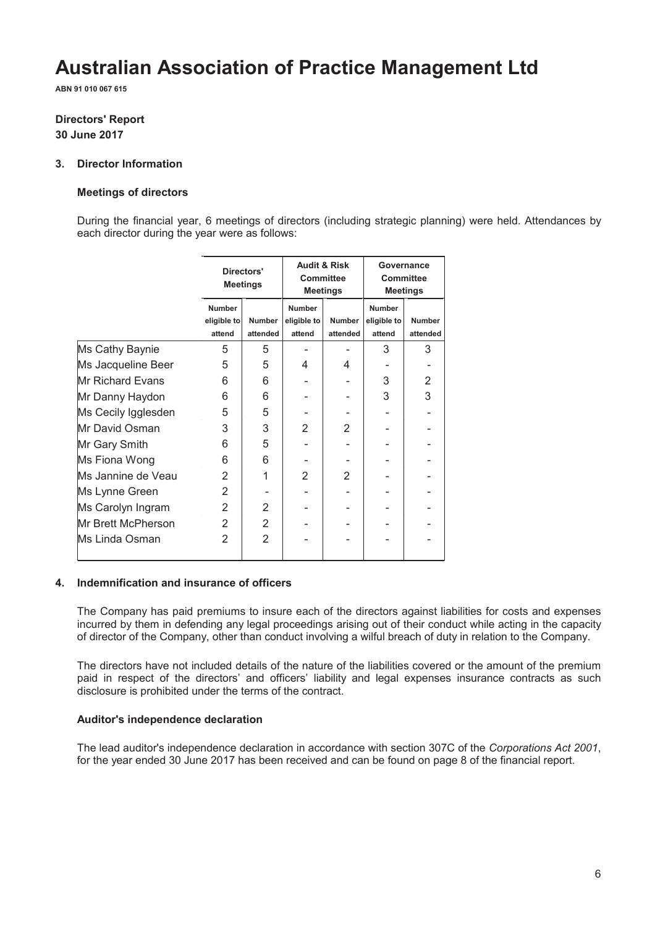**ABN 91 010 067 615**

# **Directors' Report 30 June 2017**

# **3. Director Information**

### **Meetings of directors**

During the financial year, 6 meetings of directors (including strategic planning) were held. Attendances by each director during the year were as follows:

|                     | Directors'<br><b>Meetings</b>          |                           | <b>Audit &amp; Risk</b><br><b>Committee</b><br><b>Meetings</b> |                           | Governance<br><b>Committee</b><br>Meetings |                           |
|---------------------|----------------------------------------|---------------------------|----------------------------------------------------------------|---------------------------|--------------------------------------------|---------------------------|
|                     | <b>Number</b><br>eligible to<br>attend | <b>Number</b><br>attended | <b>Number</b><br>eligible to<br>attend                         | <b>Number</b><br>attended | <b>Number</b><br>eligible to<br>attend     | <b>Number</b><br>attended |
| Ms Cathy Baynie     | 5                                      | 5                         |                                                                |                           | 3                                          | 3                         |
| Ms Jacqueline Beer  | 5                                      | 5                         | 4                                                              | 4                         |                                            |                           |
| Mr Richard Evans    | 6                                      | 6                         |                                                                |                           | 3                                          | 2                         |
| Mr Danny Haydon     | 6                                      | 6                         |                                                                |                           | 3                                          | 3                         |
| Ms Cecily Igglesden | 5                                      | 5                         |                                                                |                           |                                            |                           |
| Mr David Osman      | 3                                      | 3                         | $\overline{2}$                                                 | $\overline{2}$            |                                            |                           |
| Mr Gary Smith       | 6                                      | 5                         |                                                                |                           |                                            |                           |
| Ms Fiona Wong       | 6                                      | 6                         |                                                                |                           |                                            |                           |
| Ms Jannine de Veau  | $\overline{2}$                         | 1                         | $\mathfrak{p}$                                                 | $\mathfrak{p}$            |                                            |                           |
| Ms Lynne Green      | 2                                      |                           |                                                                |                           |                                            |                           |
| Ms Carolyn Ingram   | 2                                      | 2                         |                                                                |                           |                                            |                           |
| Mr Brett McPherson  | 2                                      | 2                         |                                                                |                           |                                            |                           |
| lMs Linda Osman     | $\overline{2}$                         | $\overline{2}$            |                                                                |                           |                                            |                           |

#### **4. Indemnification and insurance of officers**

The Company has paid premiums to insure each of the directors against liabilities for costs and expenses incurred by them in defending any legal proceedings arising out of their conduct while acting in the capacity of director of the Company, other than conduct involving a wilful breach of duty in relation to the Company.

The directors have not included details of the nature of the liabilities covered or the amount of the premium paid in respect of the directors' and officers' liability and legal expenses insurance contracts as such disclosure is prohibited under the terms of the contract.

### **Auditor's independence declaration**

The lead auditor's independence declaration in accordance with section 307C of the *Corporations Act 2001*, for the year ended 30 June 2017 has been received and can be found on page 8 of the financial report.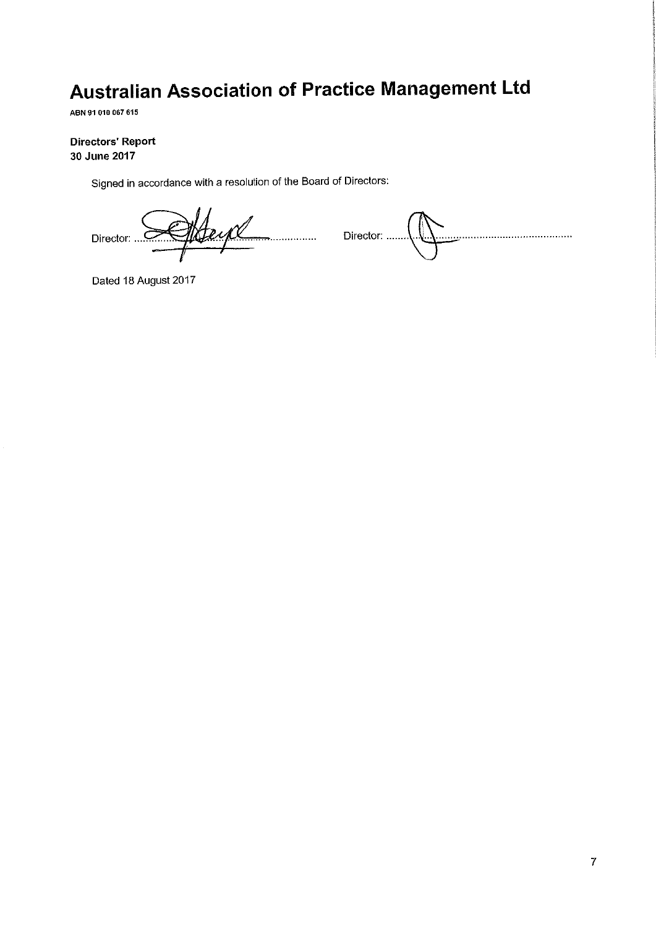ABN 91 010 067 615

# **Directors' Report** 30 June 2017

Signed in accordance with a resolution of the Board of Directors:

Heyl Director: ...

Director: ....... 

Dated 18 August 2017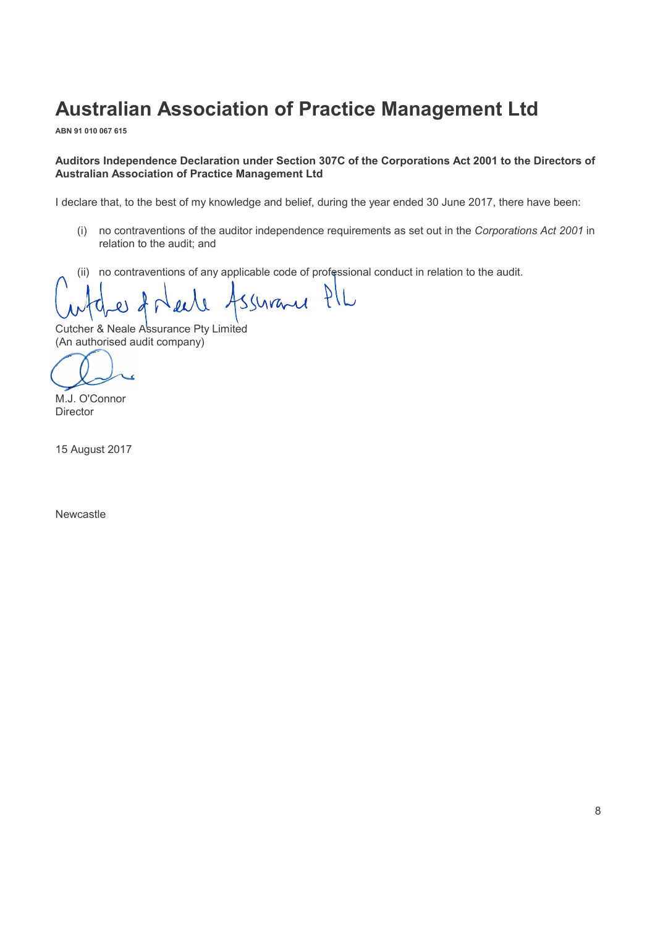**ABN 91 010 067 615**

### **Auditors Independence Declaration under Section 307C of the Corporations Act 2001 to the Directors of Australian Association of Practice Management Ltd**

I declare that, to the best of my knowledge and belief, during the year ended 30 June 2017, there have been:

- (i) no contraventions of the auditor independence requirements as set out in the *Corporations Act 2001* in relation to the audit; and
- (ii) no contraventions of any applicable code of professional conduct in relation to the audit.

ssurane PIL

Cutcher & Neale Assurance Pty Limited (An authorised audit company) (A

M.J. O'Connor **Director** 

15 August 2017

Newcastle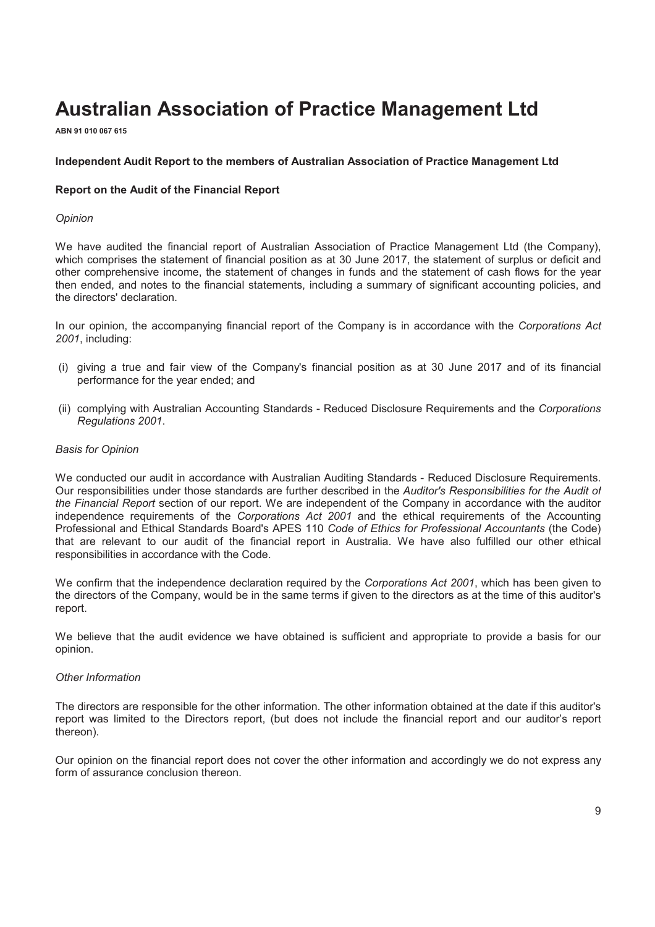**ABN 91 010 067 615**

#### **Independent Audit Report to the members of Australian Association of Practice Management Ltd**

#### **Report on the Audit of the Financial Report**

#### *Opinion*

We have audited the financial report of Australian Association of Practice Management Ltd (the Company), which comprises the statement of financial position as at 30 June 2017, the statement of surplus or deficit and other comprehensive income, the statement of changes in funds and the statement of cash flows for the year then ended, and notes to the financial statements, including a summary of significant accounting policies, and the directors' declaration.

In our opinion, the accompanying financial report of the Company is in accordance with the *Corporations Act 2001*, including:

- (i) giving a true and fair view of the Company's financial position as at 30 June 2017 and of its financial performance for the year ended; and
- (ii) complying with Australian Accounting Standards Reduced Disclosure Requirements and the *Corporations Regulations 2001*.

#### *Basis for Opinion*

We conducted our audit in accordance with Australian Auditing Standards - Reduced Disclosure Requirements. Our responsibilities under those standards are further described in the *Auditor's Responsibilities for the Audit of the Financial Report* section of our report. We are independent of the Company in accordance with the auditor independence requirements of the *Corporations Act 2001* and the ethical requirements of the Accounting Professional and Ethical Standards Board's APES 110 *Code of Ethics for Professional Accountants* (the Code) that are relevant to our audit of the financial report in Australia. We have also fulfilled our other ethical responsibilities in accordance with the Code.

We confirm that the independence declaration required by the *Corporations Act 2001*, which has been given to the directors of the Company, would be in the same terms if given to the directors as at the time of this auditor's report.

We believe that the audit evidence we have obtained is sufficient and appropriate to provide a basis for our opinion.

#### *Other Information*

The directors are responsible for the other information. The other information obtained at the date if this auditor's report was limited to the Directors report, (but does not include the financial report and our auditorís report thereon).

Our opinion on the financial report does not cover the other information and accordingly we do not express any form of assurance conclusion thereon.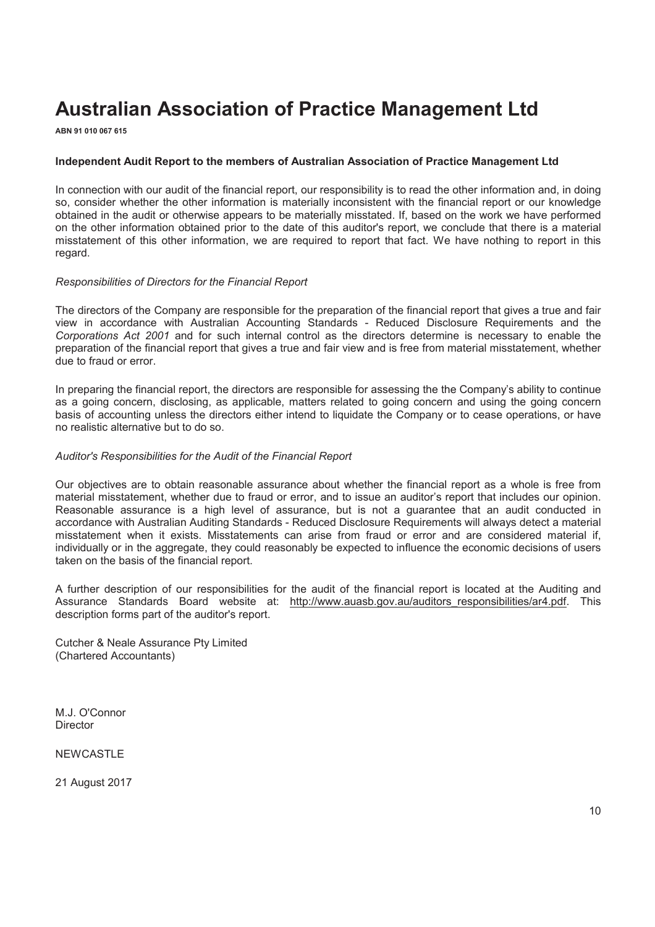**ABN 91 010 067 615**

#### **Independent Audit Report to the members of Australian Association of Practice Management Ltd**

In connection with our audit of the financial report, our responsibility is to read the other information and, in doing so, consider whether the other information is materially inconsistent with the financial report or our knowledge obtained in the audit or otherwise appears to be materially misstated. If, based on the work we have performed on the other information obtained prior to the date of this auditor's report, we conclude that there is a material misstatement of this other information, we are required to report that fact. We have nothing to report in this regard.

#### *Responsibilities of Directors for the Financial Report*

The directors of the Company are responsible for the preparation of the financial report that gives a true and fair view in accordance with Australian Accounting Standards - Reduced Disclosure Requirements and the *Corporations Act 2001* and for such internal control as the directors determine is necessary to enable the preparation of the financial report that gives a true and fair view and is free from material misstatement, whether due to fraud or error.

In preparing the financial report, the directors are responsible for assessing the the Companyís ability to continue as a going concern, disclosing, as applicable, matters related to going concern and using the going concern basis of accounting unless the directors either intend to liquidate the Company or to cease operations, or have no realistic alternative but to do so.

#### *Auditor's Responsibilities for the Audit of the Financial Report*

Our objectives are to obtain reasonable assurance about whether the financial report as a whole is free from material misstatement, whether due to fraud or error, and to issue an auditorís report that includes our opinion. Reasonable assurance is a high level of assurance, but is not a guarantee that an audit conducted in accordance with Australian Auditing Standards - Reduced Disclosure Requirements will always detect a material misstatement when it exists. Misstatements can arise from fraud or error and are considered material if, individually or in the aggregate, they could reasonably be expected to influence the economic decisions of users taken on the basis of the financial report.

A further description of our responsibilities for the audit of the financial report is located at the Auditing and Assurance Standards Board website at: http://www.auasb.gov.au/auditors\_responsibilities/ar4.pdf. This description forms part of the auditor's report.

Cutcher & Neale Assurance Pty Limited (Chartered Accountants)

M.J. O'Connor **Director** 

NEWCASTLE

21 August 2017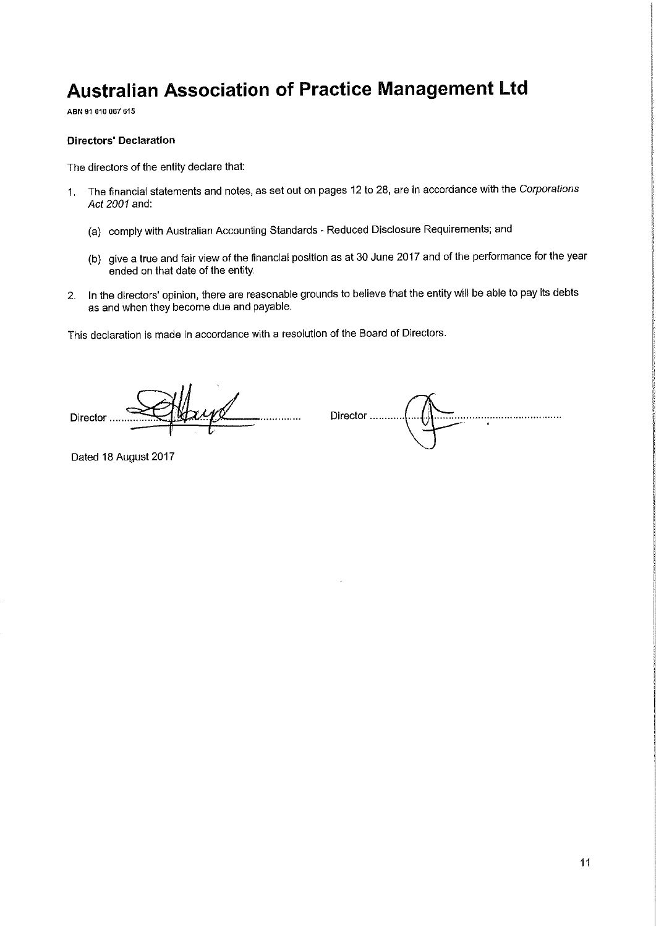ABN 91 010 067 615

#### **Directors' Declaration**

The directors of the entity declare that:

- The financial statements and notes, as set out on pages 12 to 28, are in accordance with the Corporations  $1<sup>1</sup>$ Act 2001 and:
	- (a) comply with Australian Accounting Standards Reduced Disclosure Requirements; and
	- (b) give a true and fair view of the financial position as at 30 June 2017 and of the performance for the year ended on that date of the entity.
- 2. In the directors' opinion, there are reasonable grounds to believe that the entity will be able to pay its debts as and when they become due and payable.

This declaration is made in accordance with a resolution of the Board of Directors.

yd Director ......

Director .......... 

Dated 18 August 2017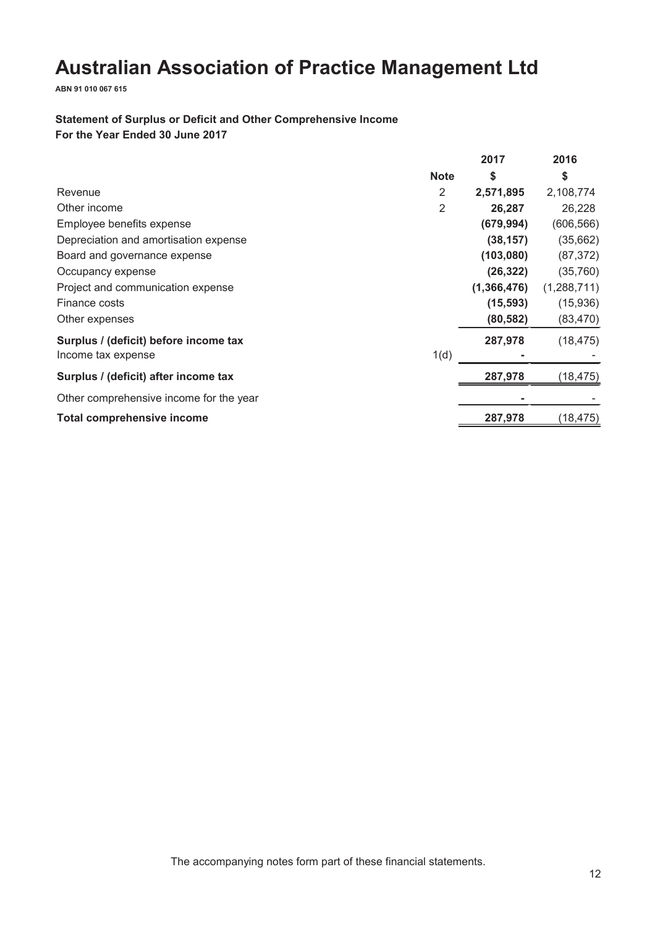**ABN 91 010 067 615**

# **Statement of Surplus or Deficit and Other Comprehensive Income For the Year Ended 30 June 2017**

|                                                             |             | 2017        | 2016        |
|-------------------------------------------------------------|-------------|-------------|-------------|
|                                                             | <b>Note</b> | S           | \$          |
| Revenue                                                     | 2           | 2,571,895   | 2,108,774   |
| Other income                                                | 2           | 26,287      | 26,228      |
| Employee benefits expense                                   |             | (679,994)   | (606, 566)  |
| Depreciation and amortisation expense                       |             | (38, 157)   | (35, 662)   |
| Board and governance expense                                |             | (103, 080)  | (87, 372)   |
| Occupancy expense                                           |             | (26, 322)   | (35, 760)   |
| Project and communication expense                           |             | (1,366,476) | (1,288,711) |
| Finance costs                                               |             | (15, 593)   | (15,936)    |
| Other expenses                                              |             | (80, 582)   | (83, 470)   |
| Surplus / (deficit) before income tax<br>Income tax expense | 1(d)        | 287,978     | (18, 475)   |
|                                                             |             |             |             |
| Surplus / (deficit) after income tax                        |             | 287,978     | (18, 475)   |
| Other comprehensive income for the year                     |             |             |             |
| <b>Total comprehensive income</b>                           |             | 287,978     | (18,475)    |

The accompanying notes form part of these financial statements.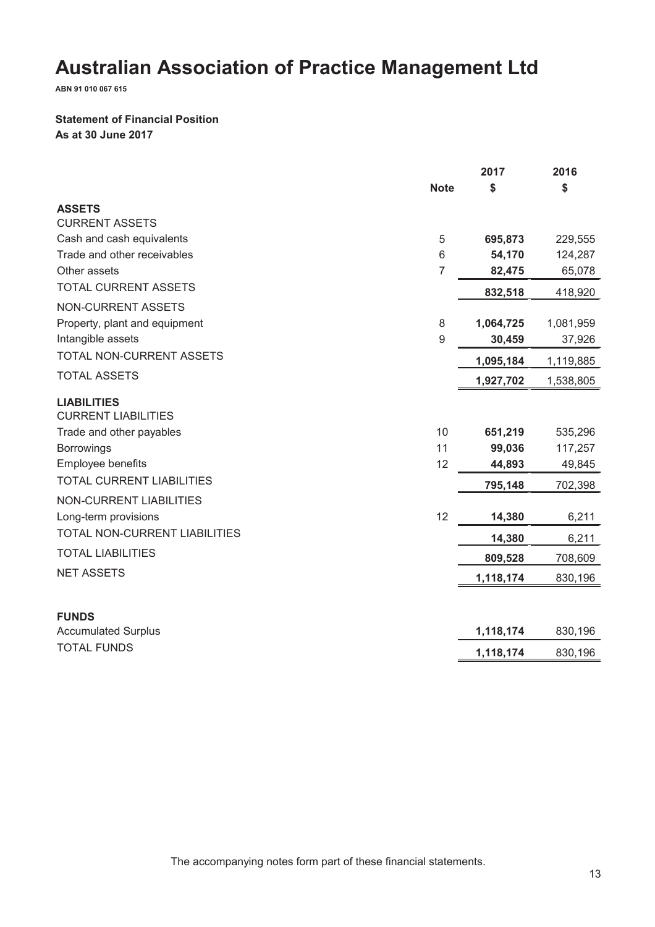**ABN 91 010 067 615**

# **Statement of Financial Position As at 30 June 2017**

|                                                  |                | 2017      | 2016      |
|--------------------------------------------------|----------------|-----------|-----------|
|                                                  | <b>Note</b>    | \$        | \$        |
| <b>ASSETS</b>                                    |                |           |           |
| <b>CURRENT ASSETS</b>                            |                |           |           |
| Cash and cash equivalents                        | 5              | 695,873   | 229,555   |
| Trade and other receivables                      | 6              | 54,170    | 124,287   |
| Other assets                                     | $\overline{7}$ | 82,475    | 65,078    |
| <b>TOTAL CURRENT ASSETS</b>                      |                | 832,518   | 418,920   |
| <b>NON-CURRENT ASSETS</b>                        |                |           |           |
| Property, plant and equipment                    | 8              | 1,064,725 | 1,081,959 |
| Intangible assets                                | 9              | 30,459    | 37,926    |
| TOTAL NON-CURRENT ASSETS                         |                | 1,095,184 | 1,119,885 |
| <b>TOTAL ASSETS</b>                              |                | 1,927,702 | 1,538,805 |
| <b>LIABILITIES</b><br><b>CURRENT LIABILITIES</b> |                |           |           |
| Trade and other payables                         | 10             | 651,219   | 535,296   |
| <b>Borrowings</b>                                | 11             | 99,036    | 117,257   |
| Employee benefits                                | 12             | 44,893    | 49,845    |
| <b>TOTAL CURRENT LIABILITIES</b>                 |                | 795,148   | 702,398   |
| <b>NON-CURRENT LIABILITIES</b>                   |                |           |           |
| Long-term provisions                             | 12             | 14,380    | 6,211     |
| TOTAL NON-CURRENT LIABILITIES                    |                | 14,380    | 6,211     |
| <b>TOTAL LIABILITIES</b>                         |                | 809,528   | 708,609   |
| <b>NET ASSETS</b>                                |                | 1,118,174 | 830,196   |
|                                                  |                |           |           |
| <b>FUNDS</b>                                     |                |           |           |
| <b>Accumulated Surplus</b>                       |                | 1,118,174 | 830,196   |
| <b>TOTAL FUNDS</b>                               |                | 1,118,174 | 830,196   |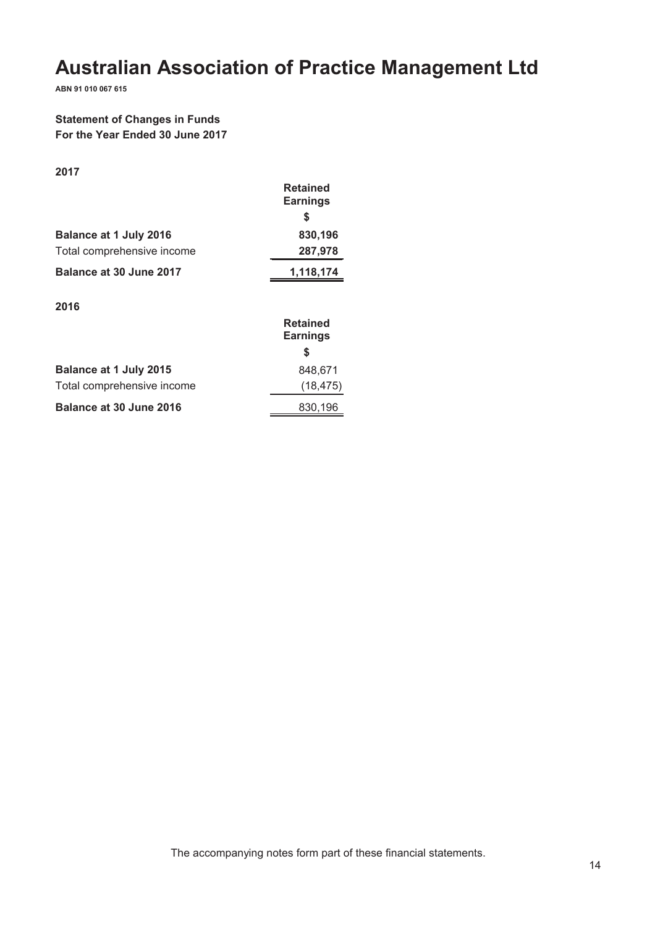**ABN 91 010 067 615**

# **Statement of Changes in Funds For the Year Ended 30 June 2017**

| - 1 |  |
|-----|--|
| ۰.  |  |

|                               | <b>Retained</b><br><b>Earnings</b> |
|-------------------------------|------------------------------------|
|                               | S                                  |
| <b>Balance at 1 July 2016</b> | 830,196                            |
| Total comprehensive income    | 287,978                            |
| Balance at 30 June 2017       | 1,118,174                          |
| 2016                          |                                    |
|                               | <b>Retained</b><br><b>Earnings</b> |
|                               | S                                  |
| <b>Balance at 1 July 2015</b> | 848,671                            |
| Total comprehensive income    | (18.475)                           |

**Balance at 30 June 2016** 830,196

The accompanying notes form part of these financial statements.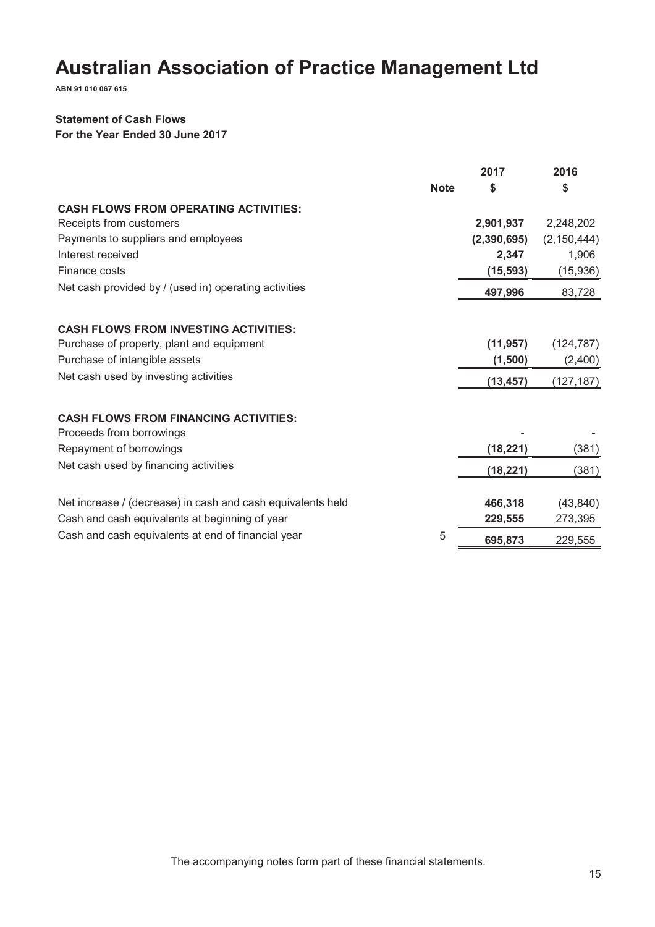**ABN 91 010 067 615**

# **Statement of Cash Flows**

**For the Year Ended 30 June 2017**

|                                                                          |             | 2017        | 2016          |
|--------------------------------------------------------------------------|-------------|-------------|---------------|
|                                                                          | <b>Note</b> | \$          | S             |
| <b>CASH FLOWS FROM OPERATING ACTIVITIES:</b>                             |             |             |               |
| Receipts from customers                                                  |             | 2,901,937   | 2,248,202     |
| Payments to suppliers and employees                                      |             | (2,390,695) | (2, 150, 444) |
| Interest received                                                        |             | 2,347       | 1,906         |
| Finance costs                                                            |             | (15, 593)   | (15,936)      |
| Net cash provided by / (used in) operating activities                    |             | 497,996     | 83,728        |
| <b>CASH FLOWS FROM INVESTING ACTIVITIES:</b>                             |             |             |               |
| Purchase of property, plant and equipment                                |             | (11, 957)   | (124, 787)    |
| Purchase of intangible assets                                            |             | (1,500)     | (2,400)       |
| Net cash used by investing activities                                    |             | (13, 457)   | (127, 187)    |
| <b>CASH FLOWS FROM FINANCING ACTIVITIES:</b><br>Proceeds from borrowings |             |             |               |
| Repayment of borrowings                                                  |             | (18, 221)   | (381)         |
| Net cash used by financing activities                                    |             |             |               |
|                                                                          |             | (18, 221)   | (381)         |
| Net increase / (decrease) in cash and cash equivalents held              |             | 466,318     | (43, 840)     |
| Cash and cash equivalents at beginning of year                           |             | 229,555     | 273,395       |
| Cash and cash equivalents at end of financial year                       | 5           | 695,873     | 229,555       |
|                                                                          |             |             |               |

The accompanying notes form part of these financial statements.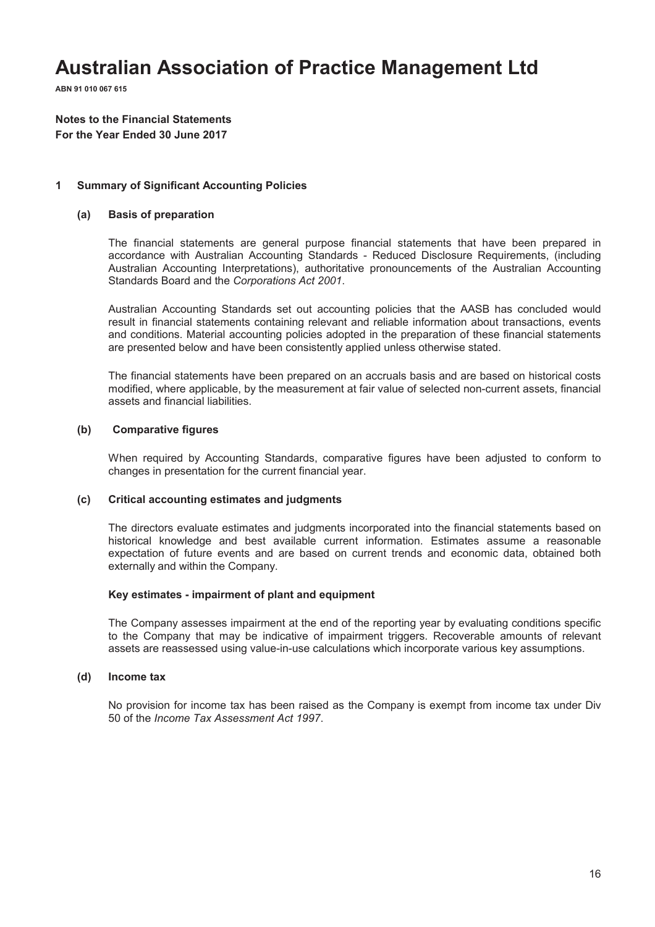**ABN 91 010 067 615**

**Notes to the Financial Statements For the Year Ended 30 June 2017**

#### **1 Summary of Significant Accounting Policies**

#### **(a) Basis of preparation**

The financial statements are general purpose financial statements that have been prepared in accordance with Australian Accounting Standards - Reduced Disclosure Requirements, (including Australian Accounting Interpretations), authoritative pronouncements of the Australian Accounting Standards Board and the *Corporations Act 2001*.

Australian Accounting Standards set out accounting policies that the AASB has concluded would result in financial statements containing relevant and reliable information about transactions, events and conditions. Material accounting policies adopted in the preparation of these financial statements are presented below and have been consistently applied unless otherwise stated.

The financial statements have been prepared on an accruals basis and are based on historical costs modified, where applicable, by the measurement at fair value of selected non-current assets, financial assets and financial liabilities.

#### **(b) Comparative figures**

When required by Accounting Standards, comparative figures have been adjusted to conform to changes in presentation for the current financial year.

#### **(c) Critical accounting estimates and judgments**

The directors evaluate estimates and judgments incorporated into the financial statements based on historical knowledge and best available current information. Estimates assume a reasonable expectation of future events and are based on current trends and economic data, obtained both externally and within the Company.

#### **Key estimates - impairment of plant and equipment**

The Company assesses impairment at the end of the reporting year by evaluating conditions specific to the Company that may be indicative of impairment triggers. Recoverable amounts of relevant assets are reassessed using value-in-use calculations which incorporate various key assumptions.

#### **(d) Income tax**

No provision for income tax has been raised as the Company is exempt from income tax under Div 50 of the *Income Tax Assessment Act 1997*.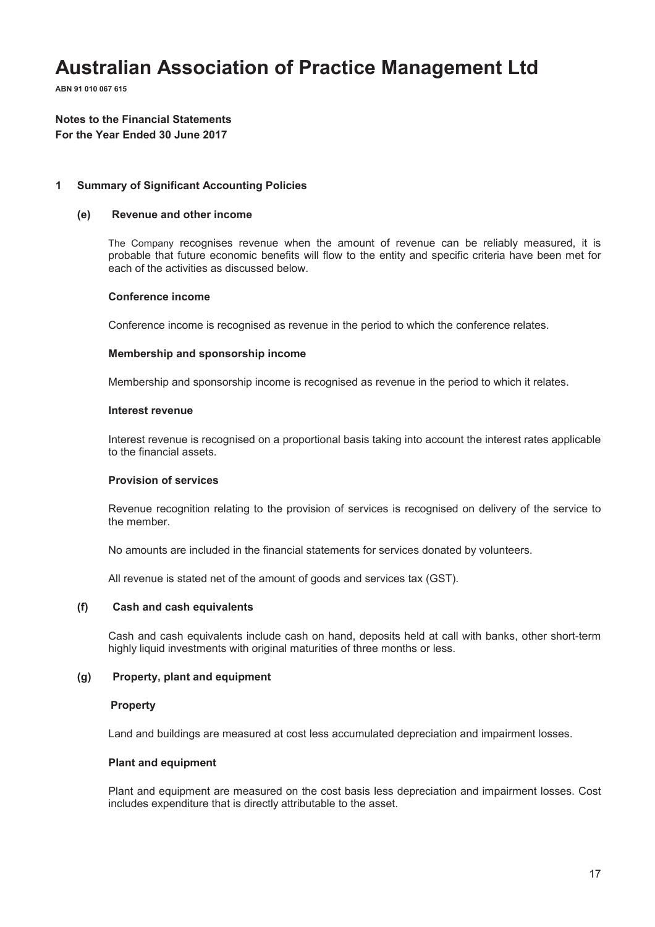**ABN 91 010 067 615**

### **Notes to the Financial Statements For the Year Ended 30 June 2017**

#### **1 Summary of Significant Accounting Policies**

#### **(e) Revenue and other income**

The Company recognises revenue when the amount of revenue can be reliably measured, it is probable that future economic benefits will flow to the entity and specific criteria have been met for each of the activities as discussed below.

#### **Conference income**

Conference income is recognised as revenue in the period to which the conference relates.

#### **Membership and sponsorship income**

Membership and sponsorship income is recognised as revenue in the period to which it relates.

#### **Interest revenue**

Interest revenue is recognised on a proportional basis taking into account the interest rates applicable to the financial assets.

#### **Provision of services**

Revenue recognition relating to the provision of services is recognised on delivery of the service to the member.

No amounts are included in the financial statements for services donated by volunteers.

All revenue is stated net of the amount of goods and services tax (GST).

#### **(f) Cash and cash equivalents**

Cash and cash equivalents include cash on hand, deposits held at call with banks, other short-term highly liquid investments with original maturities of three months or less.

#### **(g) Property, plant and equipment**

#### **Property**

Land and buildings are measured at cost less accumulated depreciation and impairment losses.

#### **Plant and equipment**

Plant and equipment are measured on the cost basis less depreciation and impairment losses. Cost includes expenditure that is directly attributable to the asset.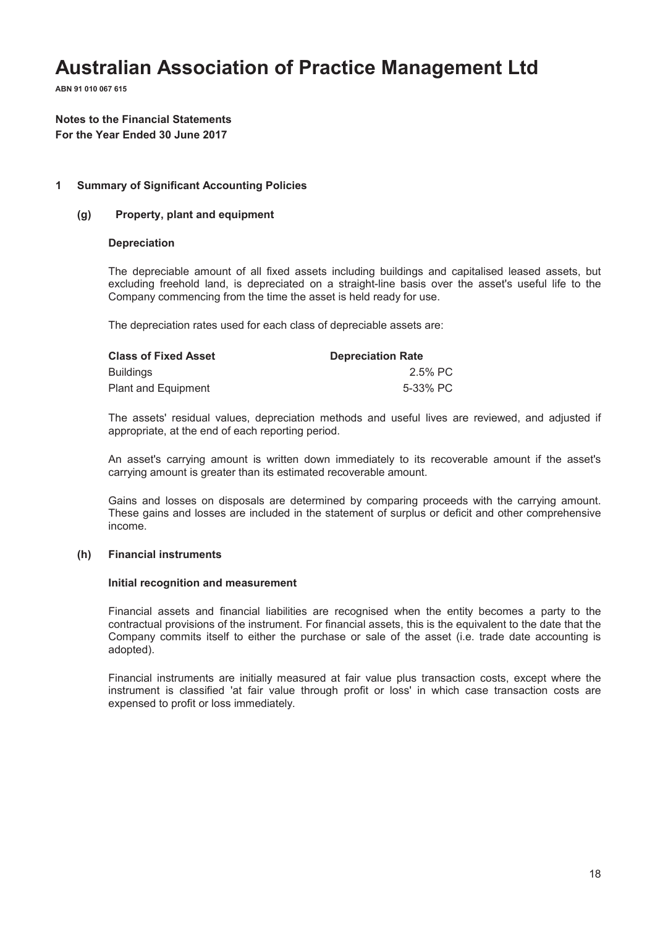**ABN 91 010 067 615**

# **Notes to the Financial Statements For the Year Ended 30 June 2017**

#### **1 Summary of Significant Accounting Policies**

#### **(g) Property, plant and equipment**

#### **Depreciation**

The depreciable amount of all fixed assets including buildings and capitalised leased assets, but excluding freehold land, is depreciated on a straight-line basis over the asset's useful life to the Company commencing from the time the asset is held ready for use.

The depreciation rates used for each class of depreciable assets are:

| <b>Class of Fixed Asset</b> | <b>Depreciation Rate</b> |
|-----------------------------|--------------------------|
| Buildings                   | 2.5% PC                  |
| Plant and Equipment         | 5-33% PC                 |

The assets' residual values, depreciation methods and useful lives are reviewed, and adjusted if appropriate, at the end of each reporting period.

An asset's carrying amount is written down immediately to its recoverable amount if the asset's carrying amount is greater than its estimated recoverable amount.

Gains and losses on disposals are determined by comparing proceeds with the carrying amount. These gains and losses are included in the statement of surplus or deficit and other comprehensive income.

### **(h) Financial instruments**

#### **Initial recognition and measurement**

Financial assets and financial liabilities are recognised when the entity becomes a party to the contractual provisions of the instrument. For financial assets, this is the equivalent to the date that the Company commits itself to either the purchase or sale of the asset (i.e. trade date accounting is adopted).

Financial instruments are initially measured at fair value plus transaction costs, except where the instrument is classified 'at fair value through profit or loss' in which case transaction costs are expensed to profit or loss immediately.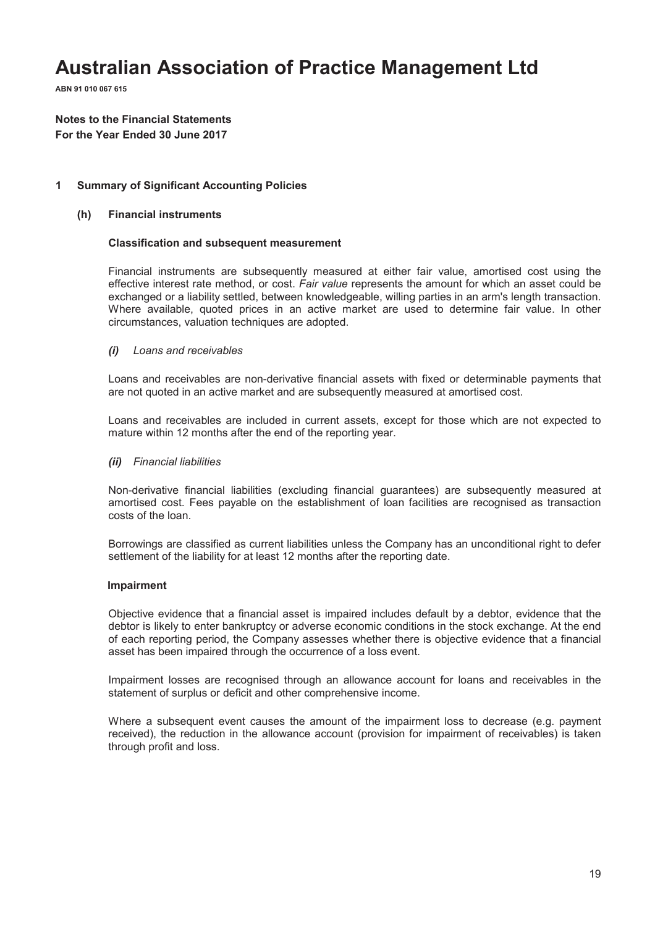**ABN 91 010 067 615**

# **Notes to the Financial Statements For the Year Ended 30 June 2017**

### **1 Summary of Significant Accounting Policies**

#### **(h) Financial instruments**

#### **Classification and subsequent measurement**

Financial instruments are subsequently measured at either fair value, amortised cost using the effective interest rate method, or cost. *Fair value* represents the amount for which an asset could be exchanged or a liability settled, between knowledgeable, willing parties in an arm's length transaction. Where available, quoted prices in an active market are used to determine fair value. In other circumstances, valuation techniques are adopted.

#### *(i) Loans and receivables*

Loans and receivables are non-derivative financial assets with fixed or determinable payments that are not quoted in an active market and are subsequently measured at amortised cost.

Loans and receivables are included in current assets, except for those which are not expected to mature within 12 months after the end of the reporting year.

#### *(ii) Financial liabilities*

Non-derivative financial liabilities (excluding financial guarantees) are subsequently measured at amortised cost. Fees payable on the establishment of loan facilities are recognised as transaction costs of the loan.

Borrowings are classified as current liabilities unless the Company has an unconditional right to defer settlement of the liability for at least 12 months after the reporting date.

#### **Impairment**

Objective evidence that a financial asset is impaired includes default by a debtor, evidence that the debtor is likely to enter bankruptcy or adverse economic conditions in the stock exchange. At the end of each reporting period, the Company assesses whether there is objective evidence that a financial asset has been impaired through the occurrence of a loss event.

Impairment losses are recognised through an allowance account for loans and receivables in the statement of surplus or deficit and other comprehensive income.

Where a subsequent event causes the amount of the impairment loss to decrease (e.g. payment received), the reduction in the allowance account (provision for impairment of receivables) is taken through profit and loss.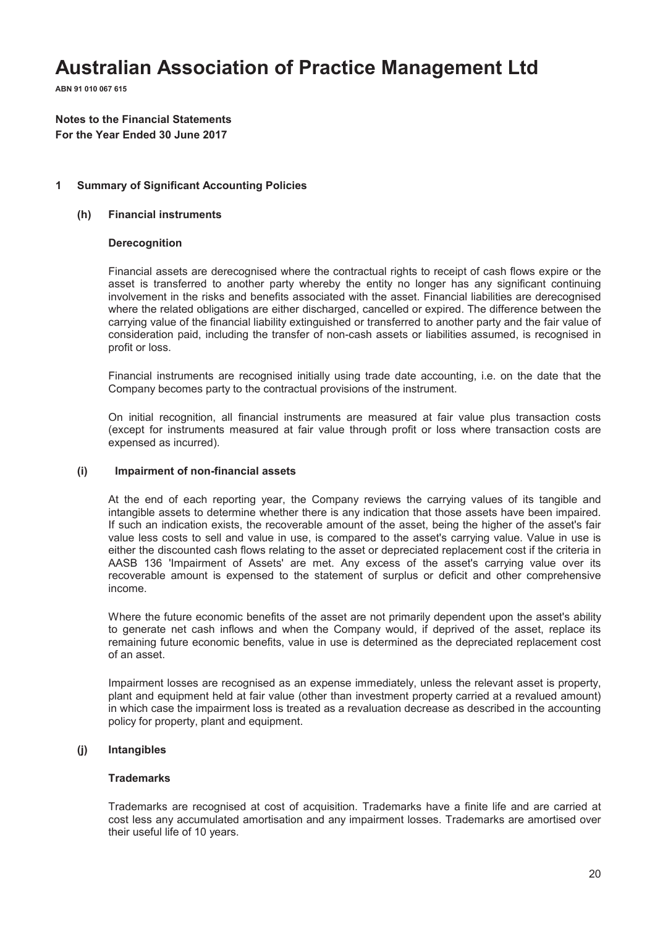**ABN 91 010 067 615**

**Notes to the Financial Statements For the Year Ended 30 June 2017**

#### **1 Summary of Significant Accounting Policies**

#### **(h) Financial instruments**

#### **Derecognition**

Financial assets are derecognised where the contractual rights to receipt of cash flows expire or the asset is transferred to another party whereby the entity no longer has any significant continuing involvement in the risks and benefits associated with the asset. Financial liabilities are derecognised where the related obligations are either discharged, cancelled or expired. The difference between the carrying value of the financial liability extinguished or transferred to another party and the fair value of consideration paid, including the transfer of non-cash assets or liabilities assumed, is recognised in profit or loss.

Financial instruments are recognised initially using trade date accounting, i.e. on the date that the Company becomes party to the contractual provisions of the instrument.

On initial recognition, all financial instruments are measured at fair value plus transaction costs (except for instruments measured at fair value through profit or loss where transaction costs are expensed as incurred).

#### **(i) Impairment of non-financial assets**

At the end of each reporting year, the Company reviews the carrying values of its tangible and intangible assets to determine whether there is any indication that those assets have been impaired. If such an indication exists, the recoverable amount of the asset, being the higher of the asset's fair value less costs to sell and value in use, is compared to the asset's carrying value. Value in use is either the discounted cash flows relating to the asset or depreciated replacement cost if the criteria in AASB 136 'Impairment of Assets' are met. Any excess of the asset's carrying value over its recoverable amount is expensed to the statement of surplus or deficit and other comprehensive income.

Where the future economic benefits of the asset are not primarily dependent upon the asset's ability to generate net cash inflows and when the Company would, if deprived of the asset, replace its remaining future economic benefits, value in use is determined as the depreciated replacement cost of an asset.

Impairment losses are recognised as an expense immediately, unless the relevant asset is property, plant and equipment held at fair value (other than investment property carried at a revalued amount) in which case the impairment loss is treated as a revaluation decrease as described in the accounting policy for property, plant and equipment.

#### **(j) Intangibles**

#### **Trademarks**

Trademarks are recognised at cost of acquisition. Trademarks have a finite life and are carried at cost less any accumulated amortisation and any impairment losses. Trademarks are amortised over their useful life of 10 years.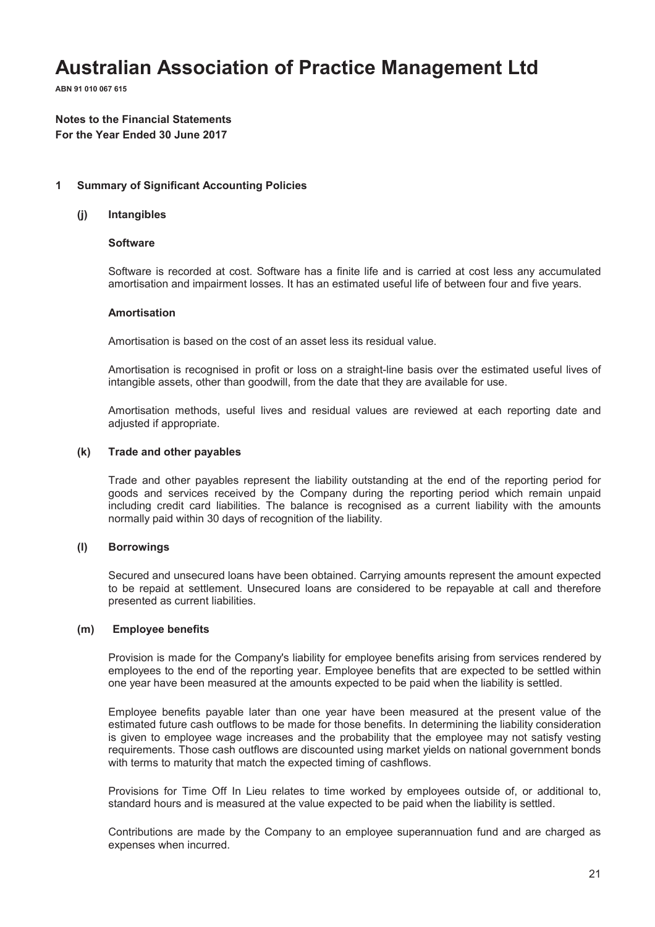**ABN 91 010 067 615**

# **Notes to the Financial Statements For the Year Ended 30 June 2017**

#### **1 Summary of Significant Accounting Policies**

#### **(j) Intangibles**

#### **Software**

Software is recorded at cost. Software has a finite life and is carried at cost less any accumulated amortisation and impairment losses. It has an estimated useful life of between four and five years.

#### **Amortisation**

Amortisation is based on the cost of an asset less its residual value.

Amortisation is recognised in profit or loss on a straight-line basis over the estimated useful lives of intangible assets, other than goodwill, from the date that they are available for use.

Amortisation methods, useful lives and residual values are reviewed at each reporting date and adjusted if appropriate.

### **(k) Trade and other payables**

Trade and other payables represent the liability outstanding at the end of the reporting period for goods and services received by the Company during the reporting period which remain unpaid including credit card liabilities. The balance is recognised as a current liability with the amounts normally paid within 30 days of recognition of the liability.

#### **(l) Borrowings**

Secured and unsecured loans have been obtained. Carrying amounts represent the amount expected to be repaid at settlement. Unsecured loans are considered to be repayable at call and therefore presented as current liabilities.

#### **(m) Employee benefits**

Provision is made for the Company's liability for employee benefits arising from services rendered by employees to the end of the reporting year. Employee benefits that are expected to be settled within one year have been measured at the amounts expected to be paid when the liability is settled.

Employee benefits payable later than one year have been measured at the present value of the estimated future cash outflows to be made for those benefits. In determining the liability consideration is given to employee wage increases and the probability that the employee may not satisfy vesting requirements. Those cash outflows are discounted using market yields on national government bonds with terms to maturity that match the expected timing of cashflows.

Provisions for Time Off In Lieu relates to time worked by employees outside of, or additional to, standard hours and is measured at the value expected to be paid when the liability is settled.

Contributions are made by the Company to an employee superannuation fund and are charged as expenses when incurred.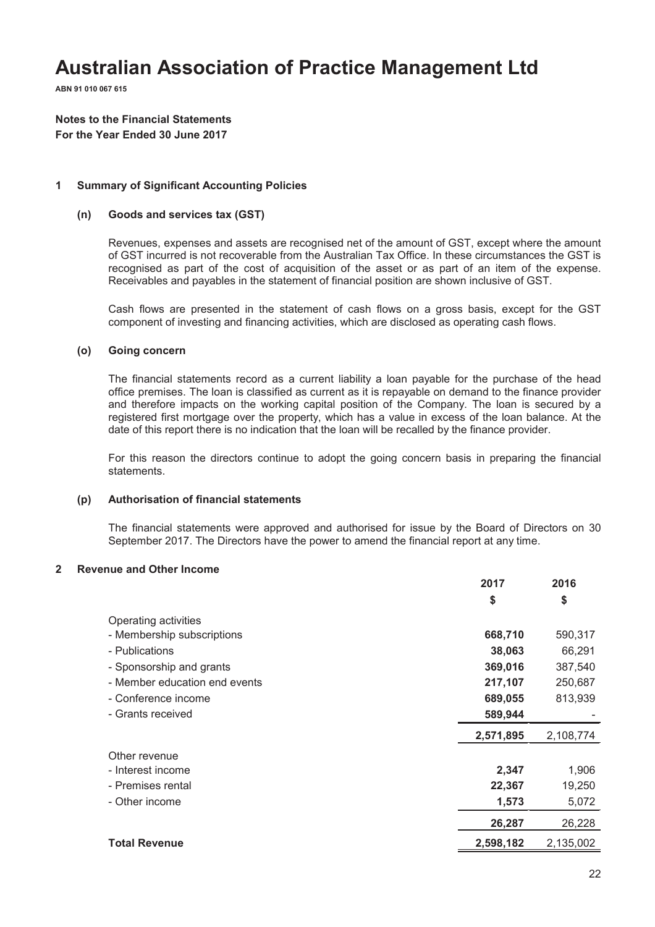**ABN 91 010 067 615**

# **Notes to the Financial Statements For the Year Ended 30 June 2017**

#### **1 Summary of Significant Accounting Policies**

#### **(n) Goods and services tax (GST)**

Revenues, expenses and assets are recognised net of the amount of GST, except where the amount of GST incurred is not recoverable from the Australian Tax Office. In these circumstances the GST is recognised as part of the cost of acquisition of the asset or as part of an item of the expense. Receivables and payables in the statement of financial position are shown inclusive of GST.

Cash flows are presented in the statement of cash flows on a gross basis, except for the GST component of investing and financing activities, which are disclosed as operating cash flows.

#### **(o) Going concern**

The financial statements record as a current liability a loan payable for the purchase of the head office premises. The loan is classified as current as it is repayable on demand to the finance provider and therefore impacts on the working capital position of the Company. The loan is secured by a registered first mortgage over the property, which has a value in excess of the loan balance. At the date of this report there is no indication that the loan will be recalled by the finance provider.

For this reason the directors continue to adopt the going concern basis in preparing the financial statements.

#### **(p) Authorisation of financial statements**

The financial statements were approved and authorised for issue by the Board of Directors on 30 September 2017. The Directors have the power to amend the financial report at any time.

#### **2 Revenue and Other Income**

|                               | 2017      | 2016      |
|-------------------------------|-----------|-----------|
|                               | \$        | \$        |
| Operating activities          |           |           |
| - Membership subscriptions    | 668,710   | 590,317   |
| - Publications                | 38,063    | 66,291    |
| - Sponsorship and grants      | 369,016   | 387,540   |
| - Member education end events | 217,107   | 250,687   |
| - Conference income           | 689,055   | 813,939   |
| - Grants received             | 589,944   |           |
|                               | 2,571,895 | 2,108,774 |
| Other revenue                 |           |           |
| - Interest income             | 2,347     | 1,906     |
| - Premises rental             | 22,367    | 19,250    |
| - Other income                | 1,573     | 5,072     |
|                               | 26,287    | 26,228    |
| <b>Total Revenue</b>          | 2,598,182 | 2,135,002 |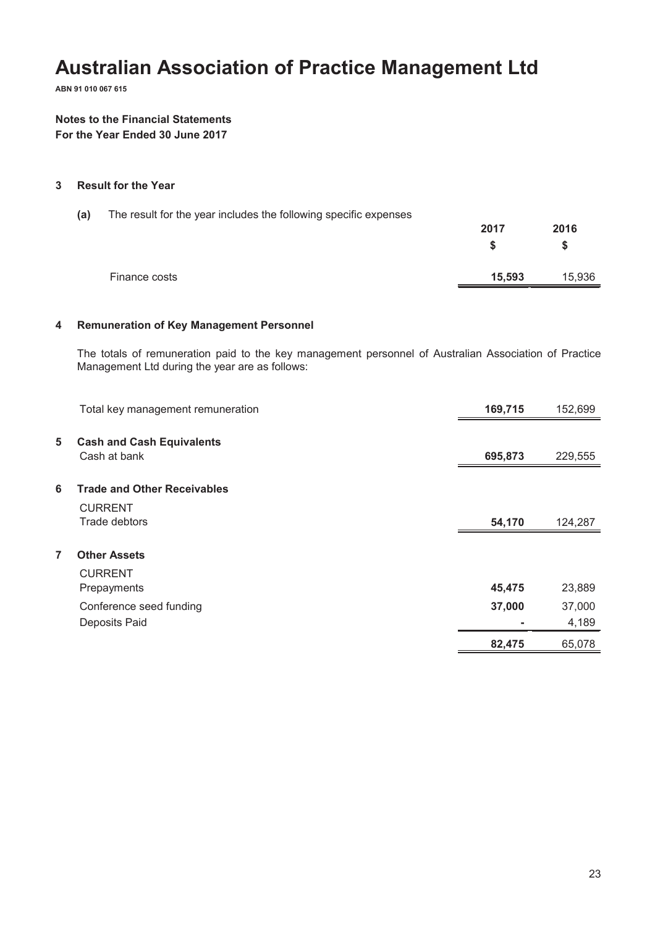**ABN 91 010 067 615**

### **Notes to the Financial Statements For the Year Ended 30 June 2017**

#### **3 Result for the Year**

| (a) | The result for the year includes the following specific expenses |        |           |
|-----|------------------------------------------------------------------|--------|-----------|
|     |                                                                  | 2017   | 2016<br>S |
|     | Finance costs                                                    | 15,593 | 15,936    |

### **4 Remuneration of Key Management Personnel**

The totals of remuneration paid to the key management personnel of Australian Association of Practice Management Ltd during the year are as follows:

|   | Total key management remuneration  | 169,715 | 152,699 |
|---|------------------------------------|---------|---------|
|   |                                    |         |         |
| 5 | <b>Cash and Cash Equivalents</b>   |         |         |
|   | Cash at bank                       | 695,873 | 229,555 |
|   |                                    |         |         |
| 6 | <b>Trade and Other Receivables</b> |         |         |
|   | <b>CURRENT</b>                     |         |         |
|   | Trade debtors                      | 54,170  | 124,287 |
|   |                                    |         |         |
| 7 | <b>Other Assets</b>                |         |         |
|   | <b>CURRENT</b>                     |         |         |
|   | Prepayments                        | 45,475  | 23,889  |
|   | Conference seed funding            | 37,000  | 37,000  |
|   | Deposits Paid                      |         | 4,189   |
|   |                                    | 82,475  | 65,078  |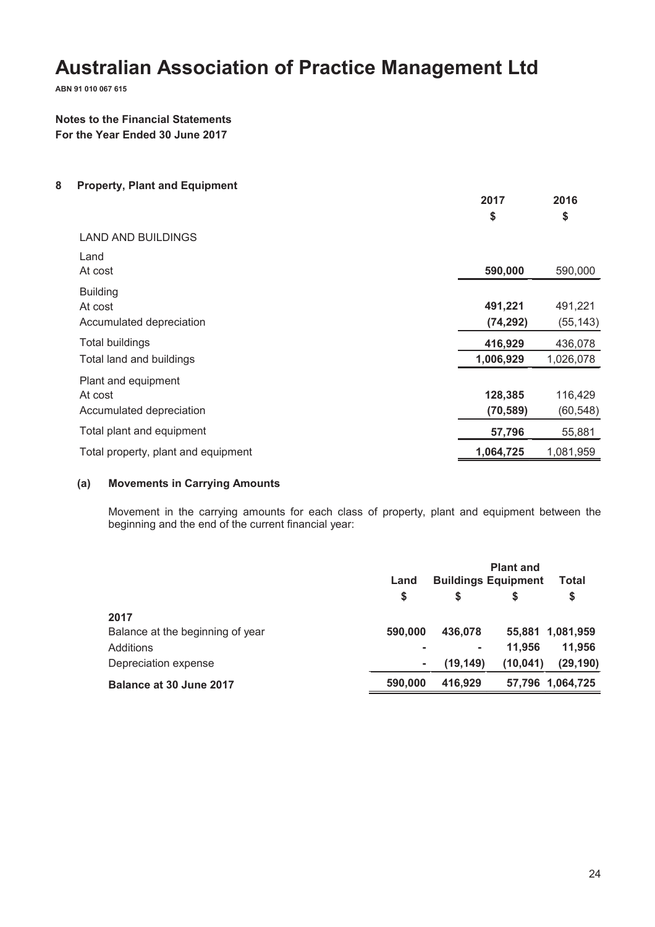**ABN 91 010 067 615**

### **Notes to the Financial Statements For the Year Ended 30 June 2017**

**8 Property, Plant and Equipment**

|                                                            | 2017<br>\$           | 2016<br>\$           |
|------------------------------------------------------------|----------------------|----------------------|
| <b>LAND AND BUILDINGS</b>                                  |                      |                      |
| Land<br>At cost                                            | 590,000              | 590,000              |
| <b>Building</b><br>At cost<br>Accumulated depreciation     | 491,221<br>(74, 292) | 491,221<br>(55, 143) |
| <b>Total buildings</b>                                     | 416,929              | 436,078              |
| Total land and buildings                                   | 1,006,929            | 1,026,078            |
| Plant and equipment<br>At cost<br>Accumulated depreciation | 128,385<br>(70, 589) | 116,429<br>(60, 548) |
| Total plant and equipment                                  | 57,796               | 55,881               |
| Total property, plant and equipment                        | 1,064,725            | 1,081,959            |

### **(a) Movements in Carrying Amounts**

Movement in the carrying amounts for each class of property, plant and equipment between the beginning and the end of the current financial year:

|                                  | Land    | <b>Plant and</b><br><b>Buildings Equipment</b><br>Total |           |                  |  |
|----------------------------------|---------|---------------------------------------------------------|-----------|------------------|--|
|                                  | S       | S                                                       | S         | \$               |  |
| 2017                             |         |                                                         |           |                  |  |
| Balance at the beginning of year | 590,000 | 436.078                                                 |           | 55,881 1,081,959 |  |
| Additions                        |         | $\sim$                                                  | 11.956    | 11,956           |  |
| Depreciation expense             |         | (19, 149)                                               | (10, 041) | (29, 190)        |  |
| Balance at 30 June 2017          | 590,000 | 416.929                                                 |           | 57,796 1,064,725 |  |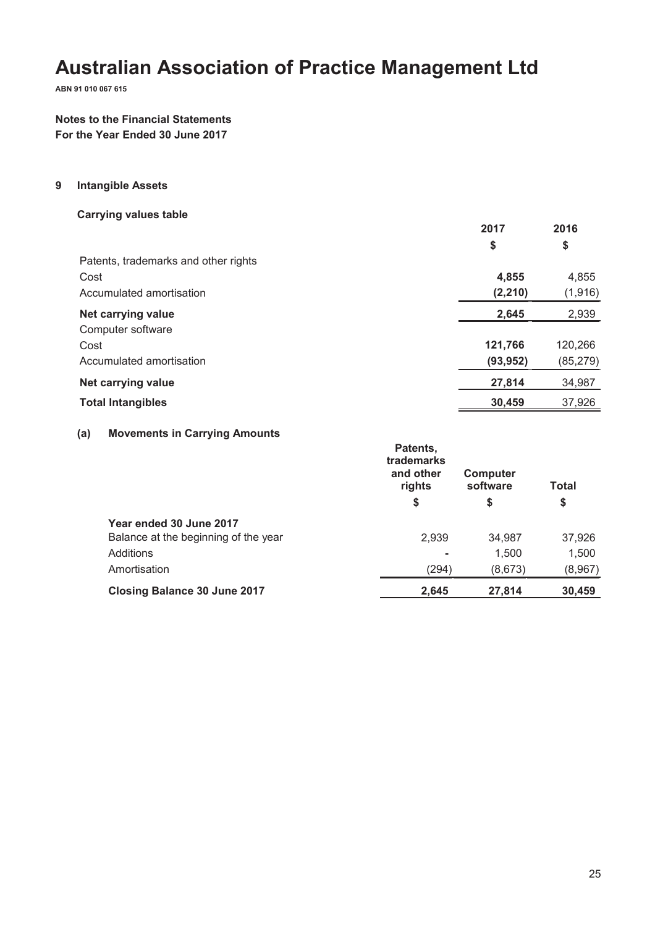**ABN 91 010 067 615**

# **Notes to the Financial Statements For the Year Ended 30 June 2017**

#### **9 Intangible Assets**

**Carrying values table**

|                                      | 2017      | 2016      |
|--------------------------------------|-----------|-----------|
|                                      | \$        | \$        |
| Patents, trademarks and other rights |           |           |
| Cost                                 | 4,855     | 4,855     |
| Accumulated amortisation             | (2, 210)  | (1,916)   |
| Net carrying value                   | 2,645     | 2,939     |
| Computer software                    |           |           |
| Cost                                 | 121,766   | 120,266   |
| Accumulated amortisation             | (93, 952) | (85, 279) |
| Net carrying value                   | 27,814    | 34,987    |
| <b>Total Intangibles</b>             | 30,459    | 37,926    |

### **(a) Movements in Carrying Amounts**

|                                      | Patents,<br>trademarks<br>and other<br>rights | Computer<br>software | <b>Total</b> |
|--------------------------------------|-----------------------------------------------|----------------------|--------------|
|                                      | \$                                            | \$                   | \$           |
| Year ended 30 June 2017              |                                               |                      |              |
| Balance at the beginning of the year | 2,939                                         | 34,987               | 37,926       |
| Additions                            |                                               | 1,500                | 1,500        |
| Amortisation                         | (294)                                         | (8,673)              | (8,967)      |
| <b>Closing Balance 30 June 2017</b>  | 2,645                                         | 27,814               | 30,459       |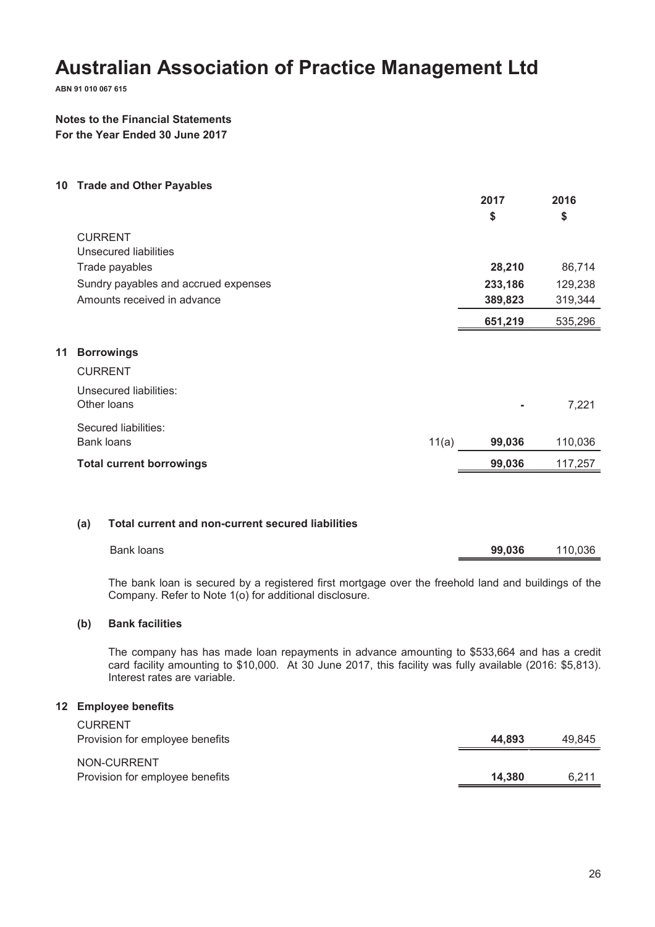**ABN 91 010 067 615**

### **Notes to the Financial Statements For the Year Ended 30 June 2017**

**10 Trade and Other Payables**

|    |                                      | 2017    | 2016    |
|----|--------------------------------------|---------|---------|
|    |                                      | \$      | \$      |
|    | <b>CURRENT</b>                       |         |         |
|    | Unsecured liabilities                |         |         |
|    | Trade payables                       | 28,210  | 86,714  |
|    | Sundry payables and accrued expenses | 233,186 | 129,238 |
|    | Amounts received in advance          | 389,823 | 319,344 |
|    |                                      | 651,219 | 535,296 |
|    |                                      |         |         |
| 11 | <b>Borrowings</b>                    |         |         |
|    | <b>CURRENT</b>                       |         |         |
|    | Unsecured liabilities:               |         |         |
|    | Other Ioans                          |         | 7,221   |
|    | Secured liabilities:                 |         |         |
|    | <b>Bank loans</b><br>11(a)           | 99,036  | 110,036 |
|    | <b>Total current borrowings</b>      | 99,036  | 117,257 |
|    |                                      |         |         |

#### **(a) Total current and non-current secured liabilities**

| Bank loans | 99,036 | 110,036 |
|------------|--------|---------|
|            |        |         |

The bank loan is secured by a registered first mortgage over the freehold land and buildings of the Company. Refer to Note 1(o) for additional disclosure.

#### **(b) Bank facilities**

The company has has made loan repayments in advance amounting to \$533,664 and has a credit card facility amounting to \$10,000. At 30 June 2017, this facility was fully available (2016: \$5,813). Interest rates are variable.

#### **12 Employee benefits**

| <b>CURRENT</b>                                 |        |        |
|------------------------------------------------|--------|--------|
| Provision for employee benefits                | 44.893 | 49.845 |
| NON-CURRENT<br>Provision for employee benefits | 14.380 | 6.211  |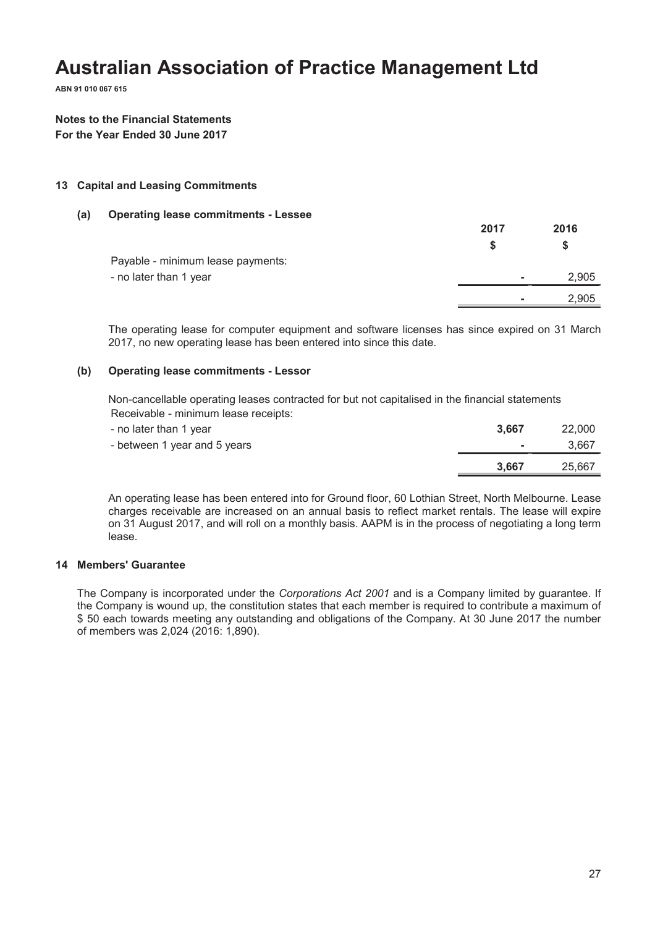**ABN 91 010 067 615**

### **Notes to the Financial Statements For the Year Ended 30 June 2017**

#### **13 Capital and Leasing Commitments**

#### **(a) Operating lease commitments - Lessee**

|                                   | 2017 | 2016  |
|-----------------------------------|------|-------|
|                                   |      | S     |
| Payable - minimum lease payments: |      |       |
| - no later than 1 year            | ۰    | 2,905 |
|                                   | ۰    | 2,905 |

The operating lease for computer equipment and software licenses has since expired on 31 March 2017, no new operating lease has been entered into since this date.

#### **(b) Operating lease commitments - Lessor**

Non-cancellable operating leases contracted for but not capitalised in the financial statements Receivable - minimum lease receipts:

| - no later than 1 year       | 3.667          | 22,000 |
|------------------------------|----------------|--------|
| - between 1 year and 5 years | <b>Service</b> | 3.667  |
|                              | 3,667          | 25.667 |

An operating lease has been entered into for Ground floor, 60 Lothian Street, North Melbourne. Lease charges receivable are increased on an annual basis to reflect market rentals. The lease will expire on 31 August 2017, and will roll on a monthly basis. AAPM is in the process of negotiating a long term lease.

#### **14 Members' Guarantee**

The Company is incorporated under the *Corporations Act 2001* and is a Company limited by guarantee. If the Company is wound up, the constitution states that each member is required to contribute a maximum of \$ 50 each towards meeting any outstanding and obligations of the Company. At 30 June 2017 the number of members was 2,024 (2016: 1,890).